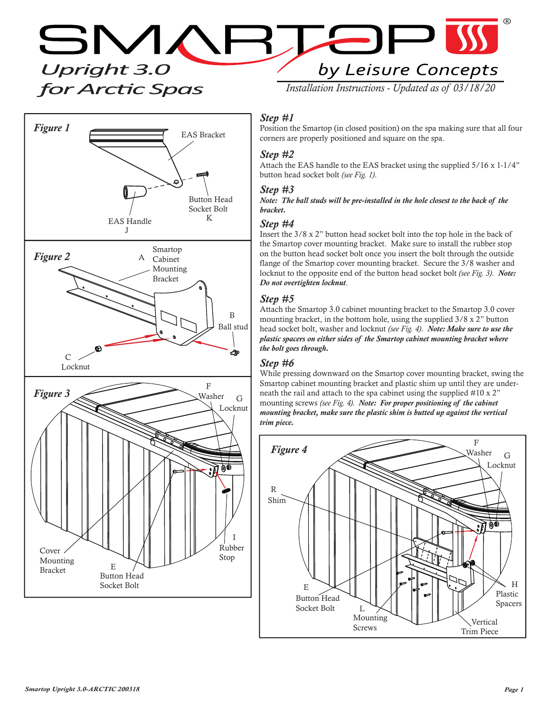*Upright 3.0 for ArcƟc Spas*



by Leisure Concepts

 $\Gamma$ 

*Installation Instructions - Updated as of 03/18/20*

 $\blacktriangleright$ 

## *Step #1*

Position the Smartop (in closed position) on the spa making sure that all four corners are properly positioned and square on the spa.

# *Step #2*

Attach the EAS handle to the EAS bracket using the supplied 5/16 x 1-1/4" button head socket bolt *(see Fig. 1)*.

#### *Step #3*

*Note: The ball studs will be pre-installed in the hole closest to the back of the bracket.*

#### *Step #4*

Insert the 3/8 x 2" button head socket bolt into the top hole in the back of the Smartop cover mounting bracket. Make sure to install the rubber stop on the button head socket bolt once you insert the bolt through the outside flange of the Smartop cover mounting bracket. Secure the 3/8 washer and locknut to the opposite end of the button head socket bolt *(see Fig. 3)*. *Note: Do not overtighten locknut*.

### *Step #5*

Attach the Smartop 3.0 cabinet mounting bracket to the Smartop 3.0 cover mounting bracket, in the bottom hole, using the supplied 3/8 x 2" button head socket bolt, washer and locknut *(see Fig. 4)*. *Note: Make sure to use the plastic spacers on either sides of the Smartop cabinet mounting bracket where the bolt goes through.*

#### *Step #6*

While pressing downward on the Smartop cover mounting bracket, swing the Smartop cabinet mounting bracket and plastic shim up until they are underneath the rail and attach to the spa cabinet using the supplied #10 x 2" mounting screws *(see Fig. 4). Note: For proper positioning of the cabinet mounting bracket, make sure the plastic shim is butted up against the vertical trim piece.*